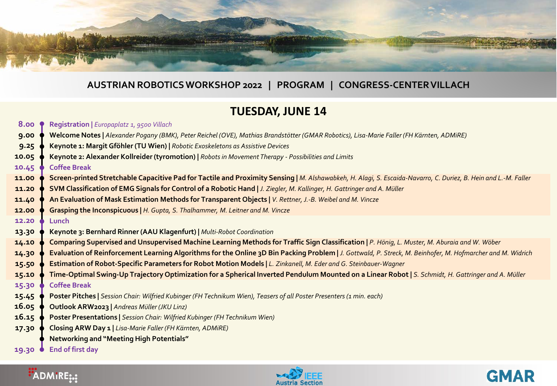

#### **AUSTRIAN ROBOTICS WORKSHOP 2022 | PROGRAM | CONGRESS-CENTER VILLACH**

### **TUESDAY, JUNE 14**

**Registration |** *Europaplatz 1, 9500 Villach* **Welcome Notes |** *Alexander Pogany (BMK), Peter Reichel (OVE), Mathias Brandstötter (GMAR Robotics), Lisa-Marie Faller (FH Kärnten, ADMiRE)* **Keynote 1: Margit Gföhler (TU Wien) |** *Robotic Exoskeletons as Assistive Devices*  **Keynote 2: Alexander Kollreider(tyromotion) |** *Robots in Movement Therapy - Possibilities and Limits* **Coffee Break Screen-printed Stretchable Capacitive Pad for Tactile and Proximity Sensing |** *M. Alshawabkeh, H. Alagi, S. Escaida-Navarro, C. Duriez, B. Hein and L.-M. Faller* **SVM Classification of EMG Signals for Control of a Robotic Hand |** *J. Ziegler, M. Kallinger, H. Gattringer and A. Müller* **An Evaluation of Mask Estimation Methods for Transparent Objects |** *V. Rettner, J.-B. Weibel and M. Vincze* **Grasping the Inconspicuous |** *H. Gupta, S. Thalhammer, M. Leitner and M. Vincze* **Lunch Keynote 3: Bernhard Rinner (AAU Klagenfurt) |** *Multi-Robot Coordination* **Comparing Supervised and Unsupervised Machine Learning Methods for Traffic Sign Classification |** *P. Hönig, L. Muster, M. Aburaia and W. Wöber* **Evaluation of Reinforcement Learning Algorithms for the Online 3D Bin Packing Problem |** *J. Gottwald, P. Streck, M. Beinhofer, M. Hofmarcher and M. Widrich* **Estimation of Robot-Specific Parameters for Robot Motion Models |** *L. Zinkanell, M. Eder and G. Steinbauer-Wagner* **Time-Optimal Swing-Up Trajectory Optimization for a Spherical Inverted Pendulum Mounted on a Linear Robot |** *S. Schmidt, H. Gattringer and A. Müller* **Coffee Break Poster Pitches |** *Session Chair: Wilfried Kubinger (FH Technikum Wien), Teasers of all Poster Presenters (1 min. each)* **Outlook ARW2023 |** *Andreas Müller (JKU Linz)* **Poster Presentations |** *Session Chair: Wilfried Kubinger (FH Technikum Wien)* **Closing ARW Day 1 |** *Lisa-Marie Faller (FH Kärnten, ADMiRE)* **Networking and "Meeting High Potentials" 8.00 9.00 9.25 10.05 10.45 11.00 11.20 11.40 12.00 12.20 13.30 14.10 14.30 15.50 15.10 15.30 15.45 16.05 16.15 17.30**

**End of first day 19.30**